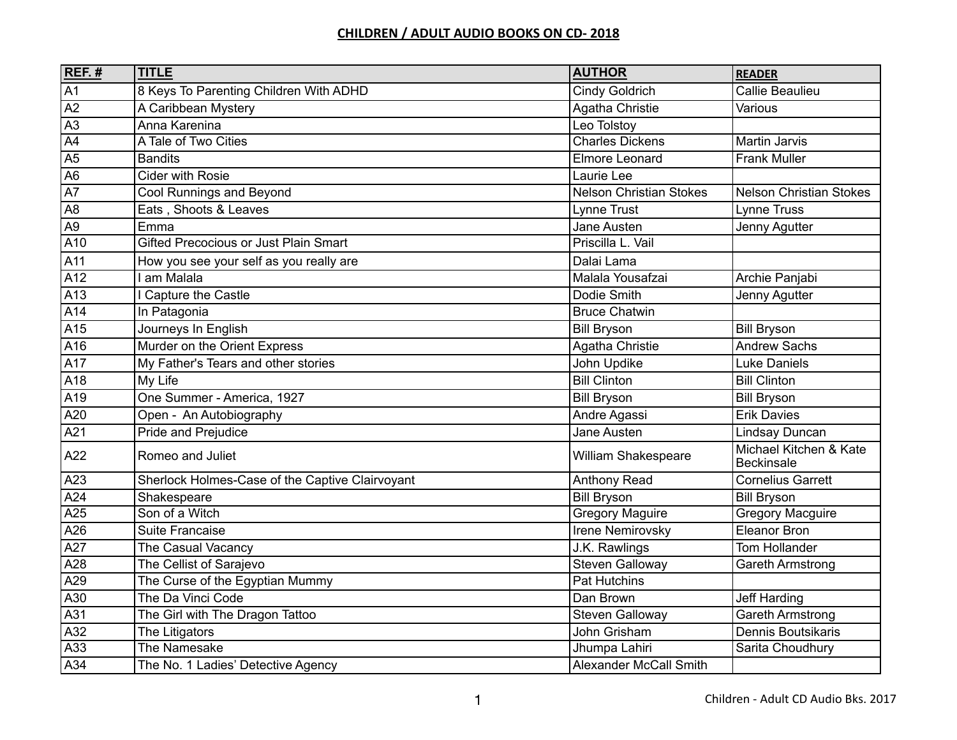## **CHILDREN / ADULT AUDIO BOOKS ON CD- 2018**

| $REF.$ #         | <b>TITLE</b>                                    | <b>AUTHOR</b>                  | <b>READER</b>                               |
|------------------|-------------------------------------------------|--------------------------------|---------------------------------------------|
| $\overline{A1}$  | 8 Keys To Parenting Children With ADHD          | <b>Cindy Goldrich</b>          | <b>Callie Beaulieu</b>                      |
| $\overline{A2}$  | A Caribbean Mystery                             | Agatha Christie                | Various                                     |
| $\overline{A3}$  | Anna Karenina                                   | Leo Tolstoy                    |                                             |
| $\overline{A4}$  | A Tale of Two Cities                            | <b>Charles Dickens</b>         | <b>Martin Jarvis</b>                        |
| A <sub>5</sub>   | <b>Bandits</b>                                  | <b>Elmore Leonard</b>          | <b>Frank Muller</b>                         |
| A <sub>6</sub>   | <b>Cider with Rosie</b>                         | Laurie Lee                     |                                             |
| $\overline{A7}$  | Cool Runnings and Beyond                        | <b>Nelson Christian Stokes</b> | <b>Nelson Christian Stokes</b>              |
| A <sub>8</sub>   | Eats, Shoots & Leaves                           | Lynne Trust                    | Lynne Truss                                 |
| A <sub>9</sub>   | Emma                                            | Jane Austen                    | Jenny Agutter                               |
| A <sub>10</sub>  | Gifted Precocious or Just Plain Smart           | Priscilla L. Vail              |                                             |
| A11              | How you see your self as you really are         | Dalai Lama                     |                                             |
| A12              | am Malala                                       | Malala Yousafzai               | Archie Panjabi                              |
| A <sub>13</sub>  | Capture the Castle                              | Dodie Smith                    | Jenny Agutter                               |
| A14              | In Patagonia                                    | <b>Bruce Chatwin</b>           |                                             |
| AI5              | Journeys In English                             | <b>Bill Bryson</b>             | <b>Bill Bryson</b>                          |
| $\overline{A16}$ | Murder on the Orient Express                    | Agatha Christie                | <b>Andrew Sachs</b>                         |
| A17              | My Father's Tears and other stories             | John Updike                    | <b>Luke Daniels</b>                         |
| A <sub>18</sub>  | My Life                                         | <b>Bill Clinton</b>            | <b>Bill Clinton</b>                         |
| A <sub>19</sub>  | One Summer - America, 1927                      | <b>Bill Bryson</b>             | <b>Bill Bryson</b>                          |
| A20              | Open - An Autobiography                         | Andre Agassi                   | <b>Erik Davies</b>                          |
| A21              | Pride and Prejudice                             | Jane Austen                    | Lindsay Duncan                              |
| A22              | Romeo and Juliet                                | William Shakespeare            | Michael Kitchen & Kate<br><b>Beckinsale</b> |
| A23              | Sherlock Holmes-Case of the Captive Clairvoyant | <b>Anthony Read</b>            | <b>Cornelius Garrett</b>                    |
| A24              | Shakespeare                                     | <b>Bill Bryson</b>             | <b>Bill Bryson</b>                          |
| A25              | Son of a Witch                                  | Gregory Maguire                | <b>Gregory Macguire</b>                     |
| A26              | <b>Suite Francaise</b>                          | Irene Nemirovsky               | <b>Eleanor Bron</b>                         |
| $\overline{A}27$ | The Casual Vacancy                              | J.K. Rawlings                  | Tom Hollander                               |
| A28              | The Cellist of Sarajevo                         | <b>Steven Galloway</b>         | <b>Gareth Armstrong</b>                     |
| A29              | The Curse of the Egyptian Mummy                 | Pat Hutchins                   |                                             |
| $\overline{A30}$ | The Da Vinci Code                               | Dan Brown                      | Jeff Harding                                |
| A31              | The Girl with The Dragon Tattoo                 | <b>Steven Galloway</b>         | <b>Gareth Armstrong</b>                     |
| A32              | The Litigators                                  | John Grisham                   | Dennis Boutsikaris                          |
| A33              | The Namesake                                    | Jhumpa Lahiri                  | Sarita Choudhury                            |
| A34              | The No. 1 Ladies' Detective Agency              | Alexander McCall Smith         |                                             |